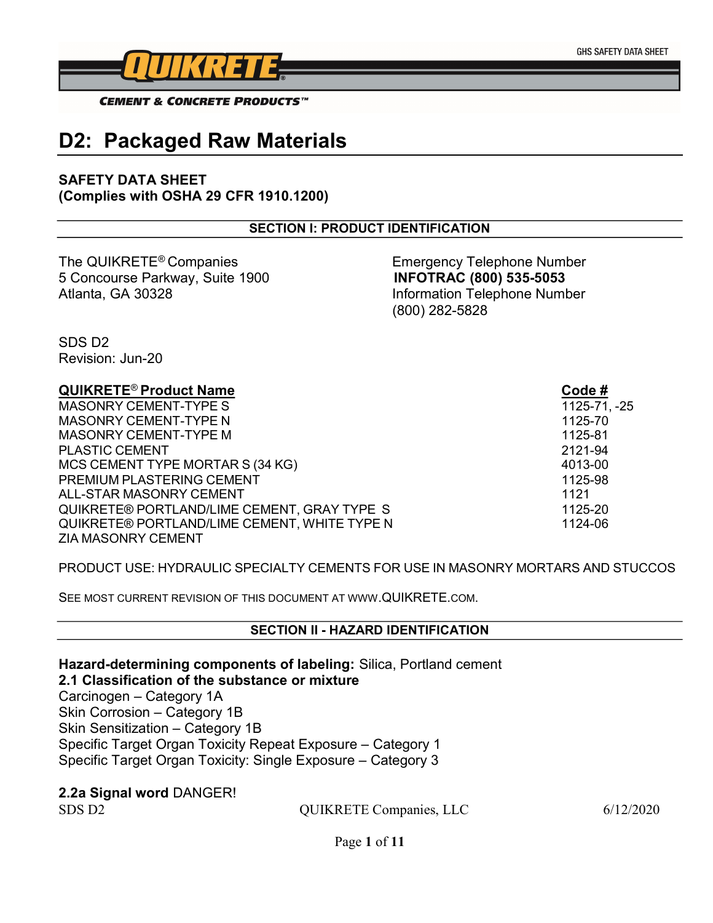

**CEMENT & CONCRETE PRODUCTS**<sup>™</sup>

# D2: Packaged Raw Materials

### SAFETY DATA SHEET (Complies with OSHA 29 CFR 1910.1200)

### SECTION I: PRODUCT IDENTIFICATION

The QUIKRETE<sup>®</sup> Companies Emergency Telephone Number 5 Concourse Parkway, Suite 1900 INFOTRAC (800) 535-5053 Atlanta, GA 30328 Information Telephone Number

(800) 282-5828

SDS D2 Revision: Jun-20

### QUIKRETE® Product Name Code #

MASONRY CEMENT-TYPE S 1125-71, 25 MASONRY CEMENT-TYPE N 1125-70 MASONRY CEMENT-TYPE M 1125-81 PLASTIC CEMENT 2121-94 MCS CEMENT TYPE MORTAR S (34 KG) 4013-00 PREMIUM PLASTERING CEMENT 1125-98 ALL-STAR MASONRY CEMENT 1121 QUIKRETE® PORTLAND/LIME CEMENT, GRAY TYPE S 1125-20 QUIKRETE® PORTLAND/LIME CEMENT, WHITE TYPE N 1124-06 ZIA MASONRY CEMENT

### PRODUCT USE: HYDRAULIC SPECIALTY CEMENTS FOR USE IN MASONRY MORTARS AND STUCCOS

SEE MOST CURRENT REVISION OF THIS DOCUMENT AT WWW.QUIKRETE.COM.

#### SECTION II - HAZARD IDENTIFICATION

Hazard-determining components of labeling: Silica, Portland cement 2.1 Classification of the substance or mixture Carcinogen – Category 1A Skin Corrosion – Category 1B Skin Sensitization – Category 1B Specific Target Organ Toxicity Repeat Exposure – Category 1 Specific Target Organ Toxicity: Single Exposure – Category 3

### 2.2a Signal word DANGER!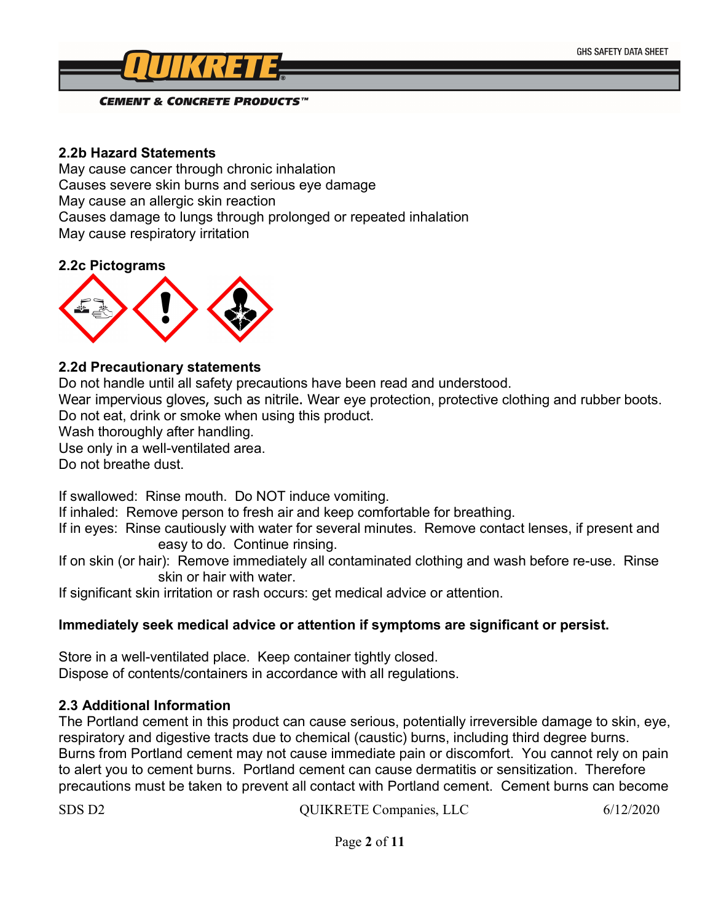**GHS SAFETY DATA SHEET** 



**CEMENT & CONCRETE PRODUCTS™** 

### 2.2b Hazard Statements

May cause cancer through chronic inhalation Causes severe skin burns and serious eye damage May cause an allergic skin reaction Causes damage to lungs through prolonged or repeated inhalation May cause respiratory irritation

### 2.2c Pictograms



### 2.2d Precautionary statements

Do not handle until all safety precautions have been read and understood.

Wear impervious gloves, such as nitrile. Wear eye protection, protective clothing and rubber boots. Do not eat, drink or smoke when using this product.

Wash thoroughly after handling.

Use only in a well-ventilated area.

Do not breathe dust.

If swallowed: Rinse mouth. Do NOT induce vomiting.

If inhaled: Remove person to fresh air and keep comfortable for breathing.

If in eyes: Rinse cautiously with water for several minutes. Remove contact lenses, if present and easy to do. Continue rinsing.

If on skin (or hair): Remove immediately all contaminated clothing and wash before re-use. Rinse skin or hair with water.

If significant skin irritation or rash occurs: get medical advice or attention.

### Immediately seek medical advice or attention if symptoms are significant or persist.

Store in a well-ventilated place. Keep container tightly closed. Dispose of contents/containers in accordance with all regulations.

### 2.3 Additional Information

The Portland cement in this product can cause serious, potentially irreversible damage to skin, eye, respiratory and digestive tracts due to chemical (caustic) burns, including third degree burns. Burns from Portland cement may not cause immediate pain or discomfort. You cannot rely on pain to alert you to cement burns. Portland cement can cause dermatitis or sensitization. Therefore precautions must be taken to prevent all contact with Portland cement. Cement burns can become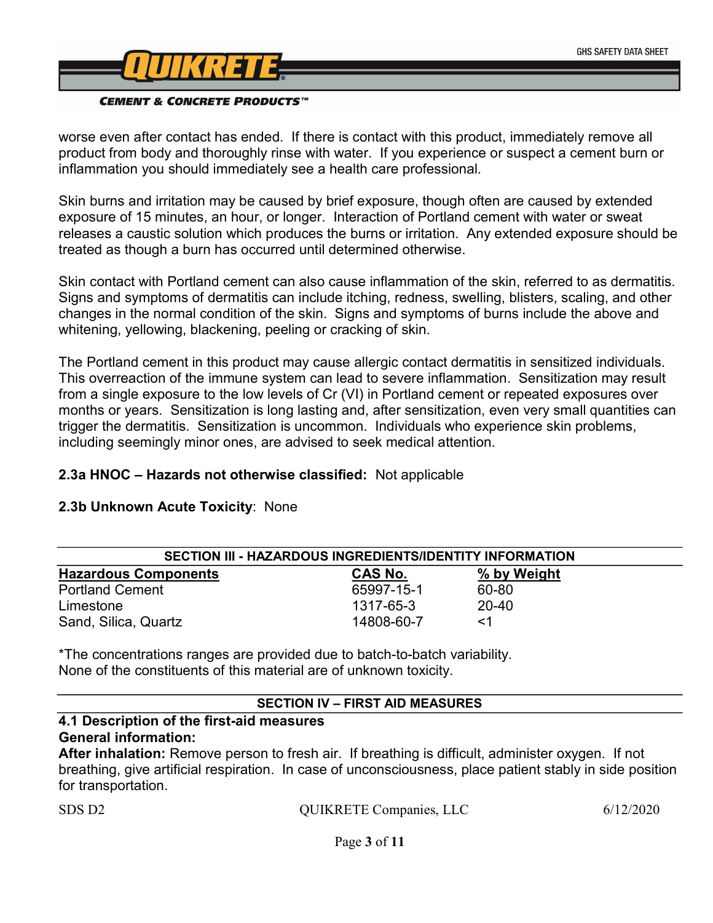

worse even after contact has ended. If there is contact with this product, immediately remove all product from body and thoroughly rinse with water. If you experience or suspect a cement burn or inflammation you should immediately see a health care professional.

Skin burns and irritation may be caused by brief exposure, though often are caused by extended exposure of 15 minutes, an hour, or longer. Interaction of Portland cement with water or sweat releases a caustic solution which produces the burns or irritation. Any extended exposure should be treated as though a burn has occurred until determined otherwise.

Skin contact with Portland cement can also cause inflammation of the skin, referred to as dermatitis. Signs and symptoms of dermatitis can include itching, redness, swelling, blisters, scaling, and other changes in the normal condition of the skin. Signs and symptoms of burns include the above and whitening, yellowing, blackening, peeling or cracking of skin.

The Portland cement in this product may cause allergic contact dermatitis in sensitized individuals. This overreaction of the immune system can lead to severe inflammation. Sensitization may result from a single exposure to the low levels of Cr (VI) in Portland cement or repeated exposures over months or years. Sensitization is long lasting and, after sensitization, even very small quantities can trigger the dermatitis. Sensitization is uncommon. Individuals who experience skin problems, including seemingly minor ones, are advised to seek medical attention.

### 2.3a HNOC – Hazards not otherwise classified: Not applicable

### 2.3b Unknown Acute Toxicity: None

| SECTION III - HAZARDOUS INGREDIENTS/IDENTITY INFORMATION |                |             |  |
|----------------------------------------------------------|----------------|-------------|--|
| <b>Hazardous Components</b>                              | <b>CAS No.</b> | % by Weight |  |
| <b>Portland Cement</b>                                   | 65997-15-1     | 60-80       |  |
| Limestone                                                | 1317-65-3      | $20 - 40$   |  |
| Sand, Silica, Quartz                                     | 14808-60-7     | <1          |  |

\*The concentrations ranges are provided due to batch-to-batch variability. None of the constituents of this material are of unknown toxicity.

### SECTION IV – FIRST AID MEASURES

### 4.1 Description of the first-aid measures General information:

After inhalation: Remove person to fresh air. If breathing is difficult, administer oxygen. If not breathing, give artificial respiration. In case of unconsciousness, place patient stably in side position for transportation.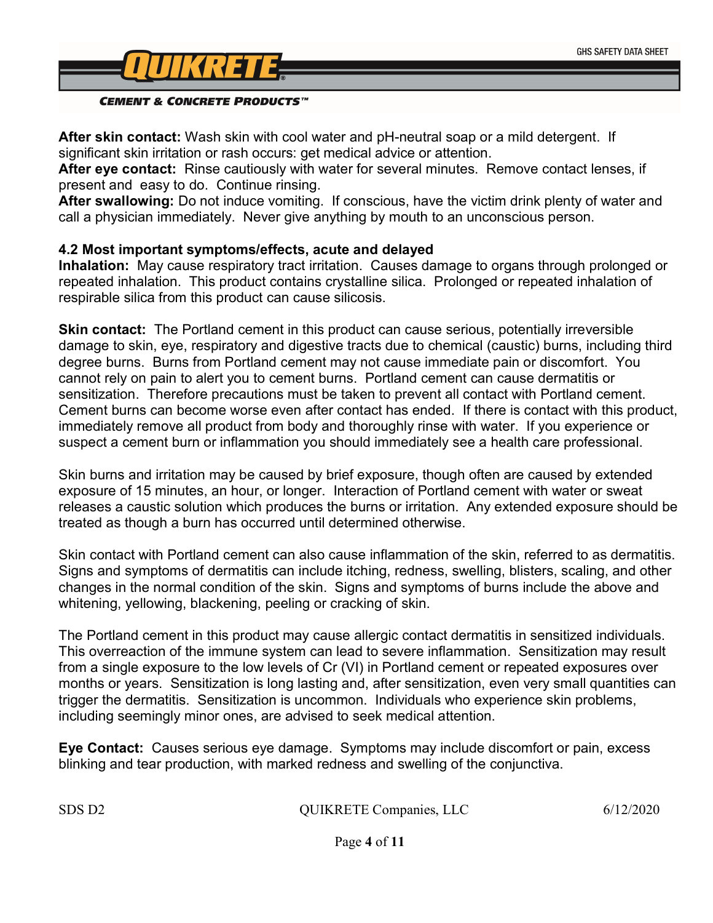

After skin contact: Wash skin with cool water and pH-neutral soap or a mild detergent. If significant skin irritation or rash occurs: get medical advice or attention.

After eye contact: Rinse cautiously with water for several minutes. Remove contact lenses, if present and easy to do. Continue rinsing.

After swallowing: Do not induce vomiting. If conscious, have the victim drink plenty of water and call a physician immediately. Never give anything by mouth to an unconscious person.

### 4.2 Most important symptoms/effects, acute and delayed

Inhalation: May cause respiratory tract irritation. Causes damage to organs through prolonged or repeated inhalation. This product contains crystalline silica. Prolonged or repeated inhalation of respirable silica from this product can cause silicosis.

**Skin contact:** The Portland cement in this product can cause serious, potentially irreversible damage to skin, eye, respiratory and digestive tracts due to chemical (caustic) burns, including third degree burns. Burns from Portland cement may not cause immediate pain or discomfort. You cannot rely on pain to alert you to cement burns. Portland cement can cause dermatitis or sensitization. Therefore precautions must be taken to prevent all contact with Portland cement. Cement burns can become worse even after contact has ended. If there is contact with this product, immediately remove all product from body and thoroughly rinse with water. If you experience or suspect a cement burn or inflammation you should immediately see a health care professional.

Skin burns and irritation may be caused by brief exposure, though often are caused by extended exposure of 15 minutes, an hour, or longer. Interaction of Portland cement with water or sweat releases a caustic solution which produces the burns or irritation. Any extended exposure should be treated as though a burn has occurred until determined otherwise.

Skin contact with Portland cement can also cause inflammation of the skin, referred to as dermatitis. Signs and symptoms of dermatitis can include itching, redness, swelling, blisters, scaling, and other changes in the normal condition of the skin. Signs and symptoms of burns include the above and whitening, yellowing, blackening, peeling or cracking of skin.

The Portland cement in this product may cause allergic contact dermatitis in sensitized individuals. This overreaction of the immune system can lead to severe inflammation. Sensitization may result from a single exposure to the low levels of Cr (VI) in Portland cement or repeated exposures over months or years. Sensitization is long lasting and, after sensitization, even very small quantities can trigger the dermatitis. Sensitization is uncommon. Individuals who experience skin problems, including seemingly minor ones, are advised to seek medical attention.

Eye Contact: Causes serious eye damage. Symptoms may include discomfort or pain, excess blinking and tear production, with marked redness and swelling of the conjunctiva.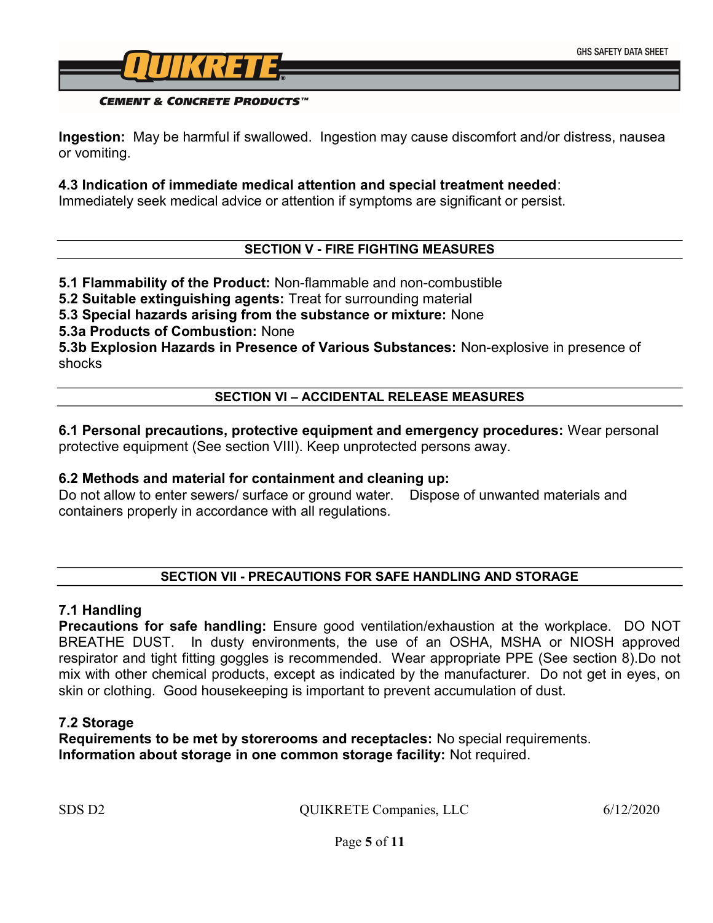

#### **CEMENT & CONCRETE PRODUCTS**<sup>™</sup>

Ingestion: May be harmful if swallowed. Ingestion may cause discomfort and/or distress, nausea or vomiting.

### 4.3 Indication of immediate medical attention and special treatment needed:

Immediately seek medical advice or attention if symptoms are significant or persist.

### SECTION V - FIRE FIGHTING MEASURES

### 5.1 Flammability of the Product: Non-flammable and non-combustible

5.2 Suitable extinguishing agents: Treat for surrounding material

5.3 Special hazards arising from the substance or mixture: None

5.3a Products of Combustion: None

5.3b Explosion Hazards in Presence of Various Substances: Non-explosive in presence of shocks

### SECTION VI – ACCIDENTAL RELEASE MEASURES

6.1 Personal precautions, protective equipment and emergency procedures: Wear personal protective equipment (See section VIII). Keep unprotected persons away.

### 6.2 Methods and material for containment and cleaning up:

Do not allow to enter sewers/ surface or ground water. Dispose of unwanted materials and containers properly in accordance with all regulations.

### SECTION VII - PRECAUTIONS FOR SAFE HANDLING AND STORAGE

### 7.1 Handling

Precautions for safe handling: Ensure good ventilation/exhaustion at the workplace. DO NOT BREATHE DUST. In dusty environments, the use of an OSHA, MSHA or NIOSH approved respirator and tight fitting goggles is recommended. Wear appropriate PPE (See section 8).Do not mix with other chemical products, except as indicated by the manufacturer. Do not get in eyes, on skin or clothing. Good housekeeping is important to prevent accumulation of dust.

### 7.2 Storage

Requirements to be met by storerooms and receptacles: No special requirements. Information about storage in one common storage facility: Not required.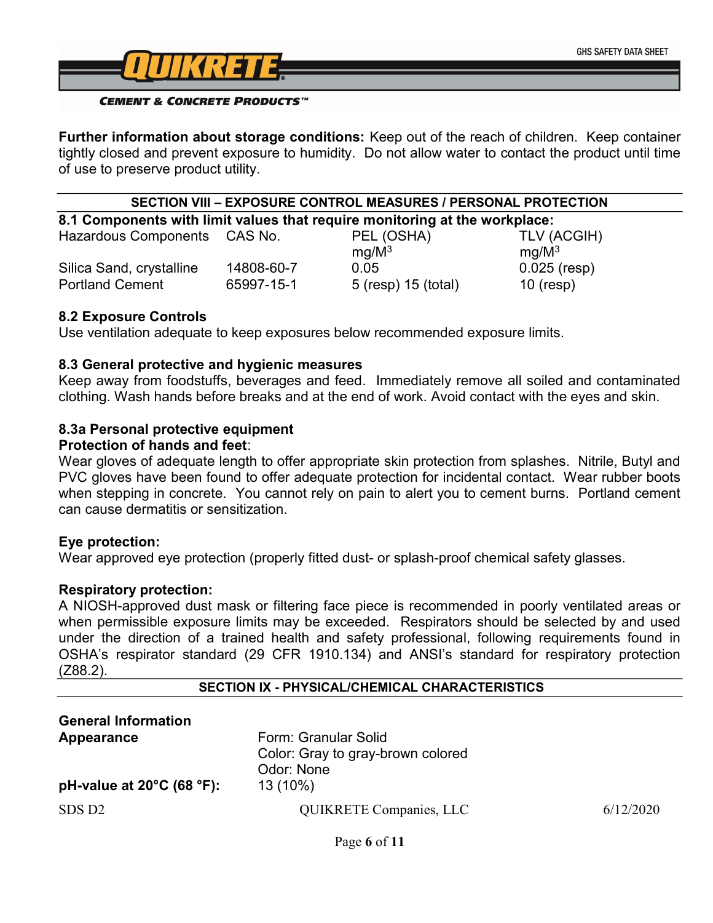

#### **CEMENT & CONCRETE PRODUCTS**<sup>TM</sup>

Further information about storage conditions: Keep out of the reach of children. Keep container tightly closed and prevent exposure to humidity. Do not allow water to contact the product until time of use to preserve product utility.

#### SECTION VIII – EXPOSURE CONTROL MEASURES / PERSONAL PROTECTION

8.1 Components with limit values that require monitoring at the workplace:

| <b>Hazardous Components</b> | CAS No.    | PEL (OSHA)          | TLV (ACGIH)       |
|-----------------------------|------------|---------------------|-------------------|
|                             |            | $mq/M^3$            | ma/M <sup>3</sup> |
| Silica Sand, crystalline    | 14808-60-7 | 0.05                | $0.025$ (resp)    |
| <b>Portland Cement</b>      | 65997-15-1 | 5 (resp) 15 (total) | $10$ (resp)       |

### 8.2 Exposure Controls

Use ventilation adequate to keep exposures below recommended exposure limits.

### 8.3 General protective and hygienic measures

Keep away from foodstuffs, beverages and feed. Immediately remove all soiled and contaminated clothing. Wash hands before breaks and at the end of work. Avoid contact with the eyes and skin.

### 8.3a Personal protective equipment

### Protection of hands and feet:

Wear gloves of adequate length to offer appropriate skin protection from splashes. Nitrile, Butyl and PVC gloves have been found to offer adequate protection for incidental contact. Wear rubber boots when stepping in concrete. You cannot rely on pain to alert you to cement burns. Portland cement can cause dermatitis or sensitization.

### Eye protection:

Wear approved eye protection (properly fitted dust- or splash-proof chemical safety glasses.

### Respiratory protection:

A NIOSH-approved dust mask or filtering face piece is recommended in poorly ventilated areas or when permissible exposure limits may be exceeded. Respirators should be selected by and used under the direction of a trained health and safety professional, following requirements found in OSHA's respirator standard (29 CFR 1910.134) and ANSI's standard for respiratory protection (Z88.2).

### SECTION IX - PHYSICAL/CHEMICAL CHARACTERISTICS

| <b>General Information</b>                    |                                   |           |
|-----------------------------------------------|-----------------------------------|-----------|
| Appearance                                    | Form: Granular Solid              |           |
|                                               | Color: Gray to gray-brown colored |           |
|                                               | Odor: None                        |           |
| pH-value at $20^{\circ}$ C (68 $^{\circ}$ F): | 13 (10%)                          |           |
| SDS D <sub>2</sub>                            | <b>QUIKRETE Companies, LLC</b>    | 6/12/2020 |
|                                               |                                   |           |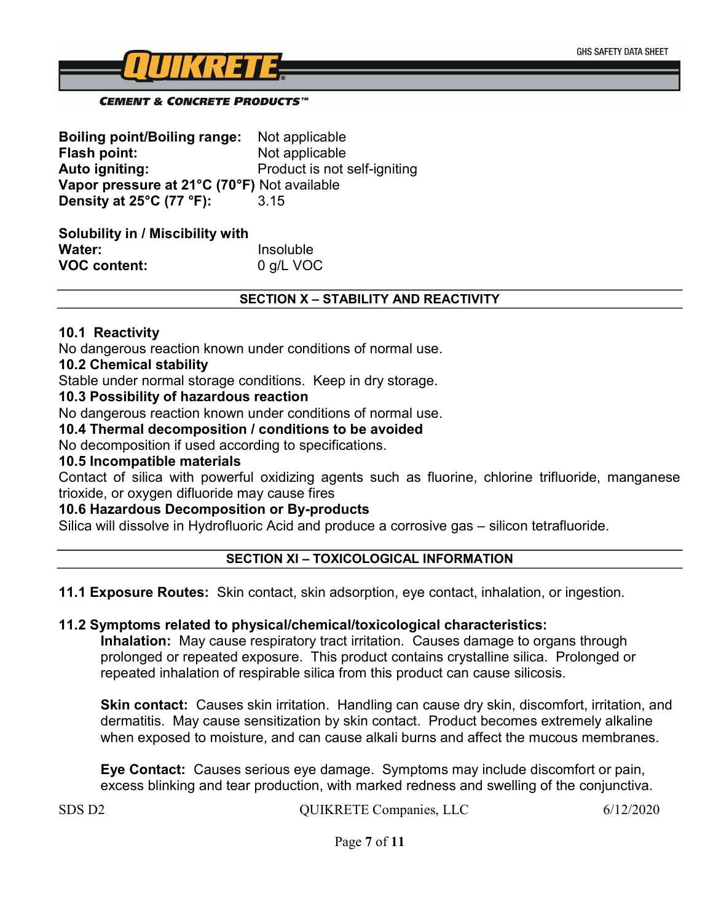

#### **CEMENT & CONCRETE PRODUCTS**<sup>™</sup>

| <b>Boiling point/Boiling range:</b>         | Not applicable               |
|---------------------------------------------|------------------------------|
| Flash point:                                | Not applicable               |
| Auto igniting:                              | Product is not self-igniting |
| Vapor pressure at 21°C (70°F) Not available |                              |
| Density at 25°C (77 °F):                    | 3.15                         |

| <b>Solubility in / Miscibility with</b> |           |
|-----------------------------------------|-----------|
| Water:                                  | Insoluble |
| <b>VOC content:</b>                     | 0 g/L VOC |

#### SECTION X – STABILITY AND REACTIVITY

#### 10.1 Reactivity

No dangerous reaction known under conditions of normal use.

#### 10.2 Chemical stability

Stable under normal storage conditions. Keep in dry storage.

#### 10.3 Possibility of hazardous reaction

No dangerous reaction known under conditions of normal use.

#### 10.4 Thermal decomposition / conditions to be avoided

No decomposition if used according to specifications.

#### 10.5 Incompatible materials

Contact of silica with powerful oxidizing agents such as fluorine, chlorine trifluoride, manganese trioxide, or oxygen difluoride may cause fires

### 10.6 Hazardous Decomposition or By-products

Silica will dissolve in Hydrofluoric Acid and produce a corrosive gas – silicon tetrafluoride.

### SECTION XI – TOXICOLOGICAL INFORMATION

### 11.1 Exposure Routes: Skin contact, skin adsorption, eye contact, inhalation, or ingestion.

### 11.2 Symptoms related to physical/chemical/toxicological characteristics:

Inhalation: May cause respiratory tract irritation. Causes damage to organs through prolonged or repeated exposure. This product contains crystalline silica. Prolonged or repeated inhalation of respirable silica from this product can cause silicosis.

**Skin contact:** Causes skin irritation. Handling can cause dry skin, discomfort, irritation, and dermatitis. May cause sensitization by skin contact. Product becomes extremely alkaline when exposed to moisture, and can cause alkali burns and affect the mucous membranes.

Eye Contact: Causes serious eye damage. Symptoms may include discomfort or pain, excess blinking and tear production, with marked redness and swelling of the conjunctiva.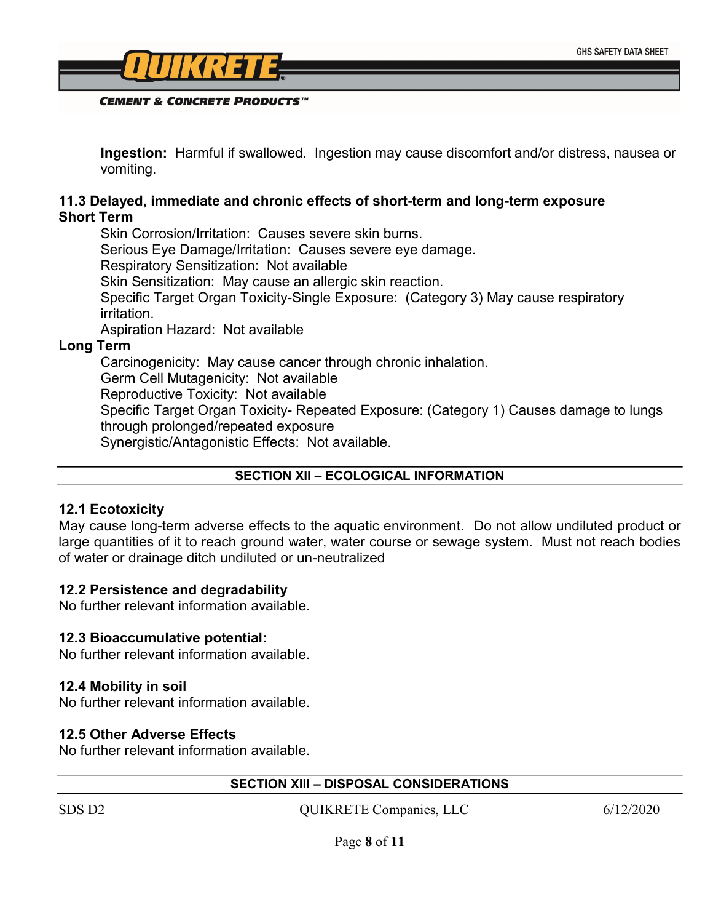

Ingestion: Harmful if swallowed. Ingestion may cause discomfort and/or distress, nausea or vomiting.

### 11.3 Delayed, immediate and chronic effects of short-term and long-term exposure Short Term

Skin Corrosion/Irritation: Causes severe skin burns. Serious Eye Damage/Irritation: Causes severe eye damage. Respiratory Sensitization: Not available Skin Sensitization: May cause an allergic skin reaction. Specific Target Organ Toxicity-Single Exposure: (Category 3) May cause respiratory irritation. Aspiration Hazard: Not available

Long Term

Carcinogenicity: May cause cancer through chronic inhalation. Germ Cell Mutagenicity: Not available Reproductive Toxicity: Not available Specific Target Organ Toxicity- Repeated Exposure: (Category 1) Causes damage to lungs through prolonged/repeated exposure Synergistic/Antagonistic Effects: Not available.

### SECTION XII – ECOLOGICAL INFORMATION

#### 12.1 Ecotoxicity

May cause long-term adverse effects to the aquatic environment. Do not allow undiluted product or large quantities of it to reach ground water, water course or sewage system. Must not reach bodies of water or drainage ditch undiluted or un-neutralized

### 12.2 Persistence and degradability

No further relevant information available.

### 12.3 Bioaccumulative potential:

No further relevant information available.

### 12.4 Mobility in soil

No further relevant information available.

### 12.5 Other Adverse Effects

No further relevant information available.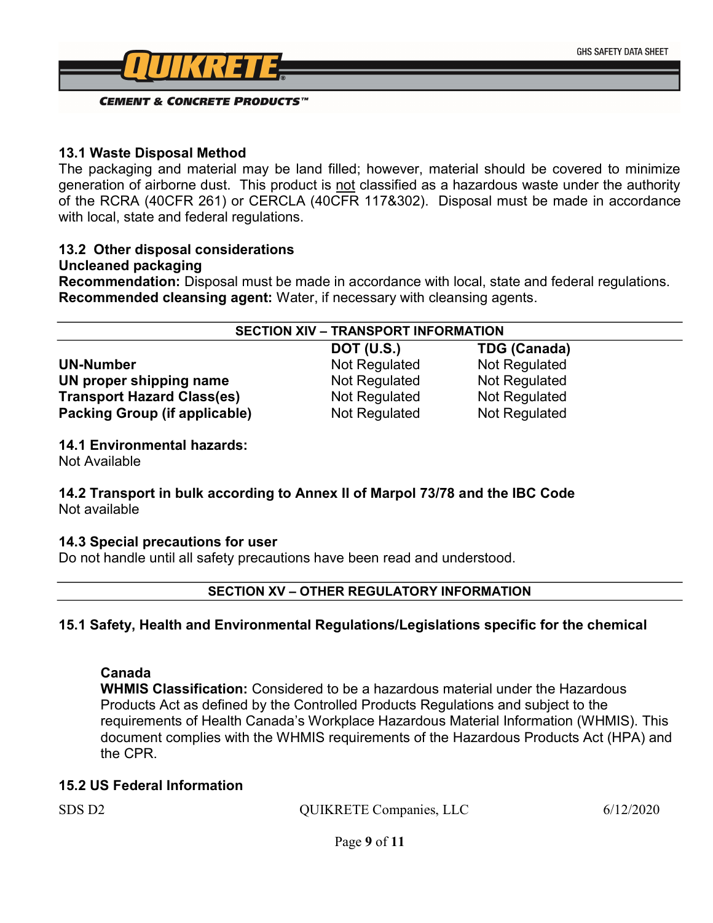

### **CEMENT & CONCRETE PRODUCTS**<sup>TM</sup>

### 13.1 Waste Disposal Method

The packaging and material may be land filled; however, material should be covered to minimize generation of airborne dust. This product is not classified as a hazardous waste under the authority of the RCRA (40CFR 261) or CERCLA (40CFR 117&302). Disposal must be made in accordance with local, state and federal regulations.

### 13.2 Other disposal considerations

#### Uncleaned packaging

Recommendation: Disposal must be made in accordance with local, state and federal regulations. Recommended cleansing agent: Water, if necessary with cleansing agents.

| <b>SECTION XIV - TRANSPORT INFORMATION</b> |                   |                     |  |
|--------------------------------------------|-------------------|---------------------|--|
|                                            | <b>DOT (U.S.)</b> | <b>TDG (Canada)</b> |  |
| <b>UN-Number</b>                           | Not Regulated     | Not Regulated       |  |
| UN proper shipping name                    | Not Regulated     | Not Regulated       |  |
| <b>Transport Hazard Class(es)</b>          | Not Regulated     | Not Regulated       |  |
| <b>Packing Group (if applicable)</b>       | Not Regulated     | Not Regulated       |  |

14.1 Environmental hazards:

Not Available

### 14.2 Transport in bulk according to Annex II of Marpol 73/78 and the IBC Code Not available

### 14.3 Special precautions for user

Do not handle until all safety precautions have been read and understood.

### SECTION XV – OTHER REGULATORY INFORMATION

### 15.1 Safety, Health and Environmental Regulations/Legislations specific for the chemical

### Canada

WHMIS Classification: Considered to be a hazardous material under the Hazardous Products Act as defined by the Controlled Products Regulations and subject to the requirements of Health Canada's Workplace Hazardous Material Information (WHMIS). This document complies with the WHMIS requirements of the Hazardous Products Act (HPA) and the CPR.

### 15.2 US Federal Information

| SDS D2 | <b>QUIKRETE Companies, LLC</b> | 6/12/2020 |
|--------|--------------------------------|-----------|
|        |                                |           |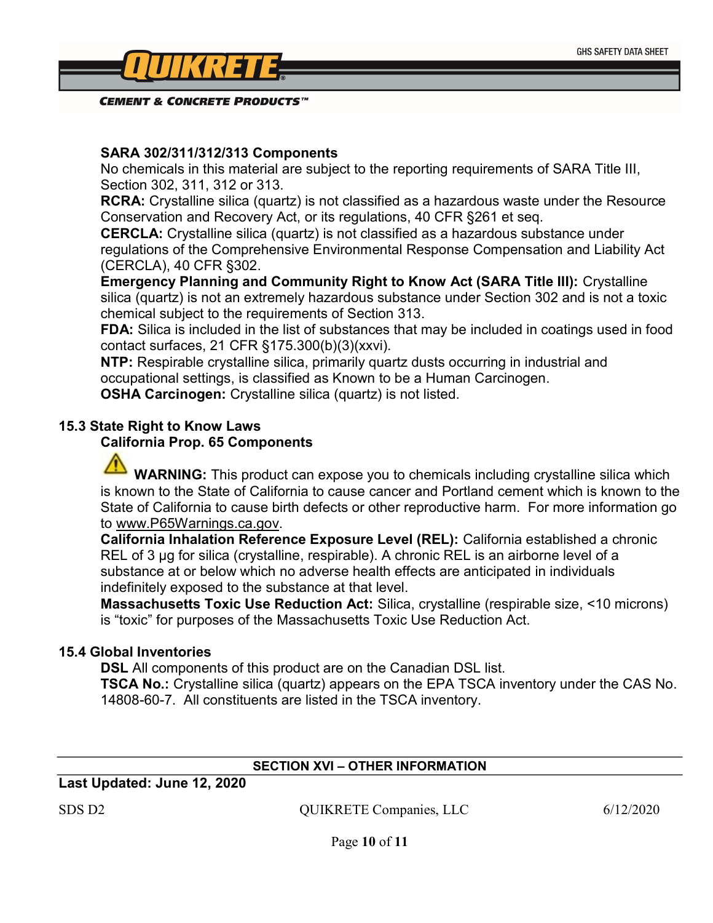

**CEMENT & CONCRETE PRODUCTS**<sup>TM</sup>

### SARA 302/311/312/313 Components

No chemicals in this material are subject to the reporting requirements of SARA Title III, Section 302, 311, 312 or 313.

RCRA: Crystalline silica (quartz) is not classified as a hazardous waste under the Resource Conservation and Recovery Act, or its regulations, 40 CFR §261 et seq.

CERCLA: Crystalline silica (quartz) is not classified as a hazardous substance under regulations of the Comprehensive Environmental Response Compensation and Liability Act (CERCLA), 40 CFR §302.

Emergency Planning and Community Right to Know Act (SARA Title III): Crystalline silica (quartz) is not an extremely hazardous substance under Section 302 and is not a toxic chemical subject to the requirements of Section 313.

FDA: Silica is included in the list of substances that may be included in coatings used in food contact surfaces, 21 CFR §175.300(b)(3)(xxvi).

NTP: Respirable crystalline silica, primarily quartz dusts occurring in industrial and occupational settings, is classified as Known to be a Human Carcinogen. OSHA Carcinogen: Crystalline silica (quartz) is not listed.

### 15.3 State Right to Know Laws

### California Prop. 65 Components

WARNING: This product can expose you to chemicals including crystalline silica which is known to the State of California to cause cancer and Portland cement which is known to the State of California to cause birth defects or other reproductive harm. For more information go to www.P65Warnings.ca.gov.

California Inhalation Reference Exposure Level (REL): California established a chronic REL of 3 µg for silica (crystalline, respirable). A chronic REL is an airborne level of a substance at or below which no adverse health effects are anticipated in individuals indefinitely exposed to the substance at that level.

Massachusetts Toxic Use Reduction Act: Silica, crystalline (respirable size, <10 microns) is "toxic" for purposes of the Massachusetts Toxic Use Reduction Act.

### 15.4 Global Inventories

**DSL** All components of this product are on the Canadian DSL list.

TSCA No.: Crystalline silica (quartz) appears on the EPA TSCA inventory under the CAS No. 14808-60-7. All constituents are listed in the TSCA inventory.

### SECTION XVI – OTHER INFORMATION

Last Updated: June 12, 2020